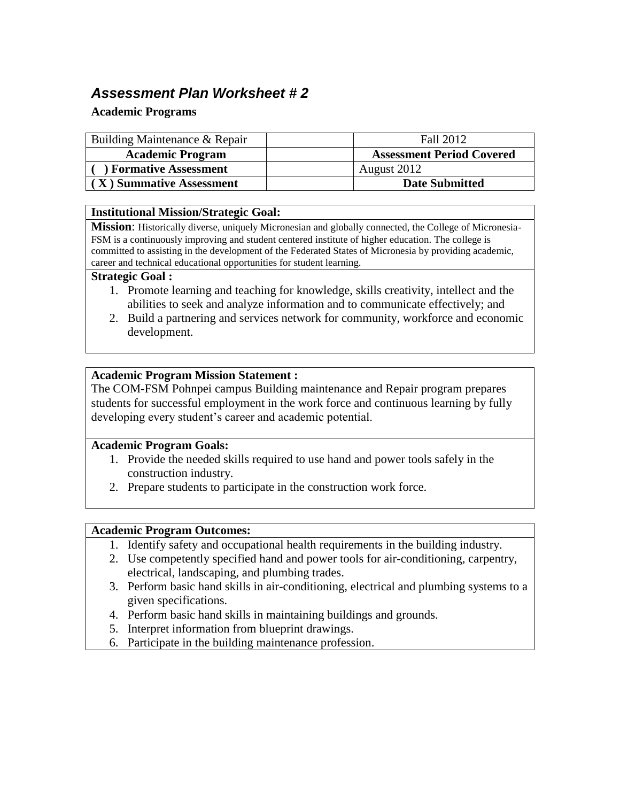# *Assessment Plan Worksheet # 2*

### **Academic Programs**

| Building Maintenance & Repair | Fall 2012                        |
|-------------------------------|----------------------------------|
| <b>Academic Program</b>       | <b>Assessment Period Covered</b> |
| ) Formative Assessment        | August 2012                      |
| (X) Summative Assessment      | <b>Date Submitted</b>            |

#### **Institutional Mission/Strategic Goal:**

**Mission**: Historically diverse, uniquely Micronesian and globally connected, the College of Micronesia-FSM is a continuously improving and student centered institute of higher education. The college is committed to assisting in the development of the Federated States of Micronesia by providing academic, career and technical educational opportunities for student learning.

#### **Strategic Goal :**

- 1. Promote learning and teaching for knowledge, skills creativity, intellect and the abilities to seek and analyze information and to communicate effectively; and
- 2. Build a partnering and services network for community, workforce and economic development.

#### **Academic Program Mission Statement :**

The COM-FSM Pohnpei campus Building maintenance and Repair program prepares students for successful employment in the work force and continuous learning by fully developing every student's career and academic potential.

#### **Academic Program Goals:**

- 1. Provide the needed skills required to use hand and power tools safely in the construction industry.
- 2. Prepare students to participate in the construction work force.

#### **Academic Program Outcomes:**

- 1. Identify safety and occupational health requirements in the building industry.
- 2. Use competently specified hand and power tools for air-conditioning, carpentry, electrical, landscaping, and plumbing trades.
- 3. Perform basic hand skills in air-conditioning, electrical and plumbing systems to a given specifications.
- 4. Perform basic hand skills in maintaining buildings and grounds.
- 5. Interpret information from blueprint drawings.
- 6. Participate in the building maintenance profession.